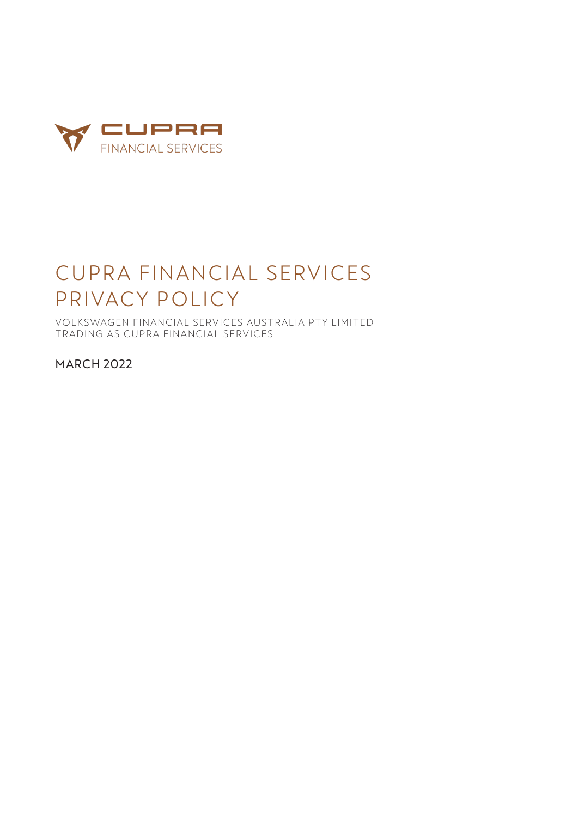

# CUPRA FINANCIAL SERVICES PRIVACY POLICY

VOLKSWAGEN FINANCIAL SERVICES AUSTRALIA PTY LIMITED TRADING AS CUPRA FINANCIAL SERVICES

MARCH 2022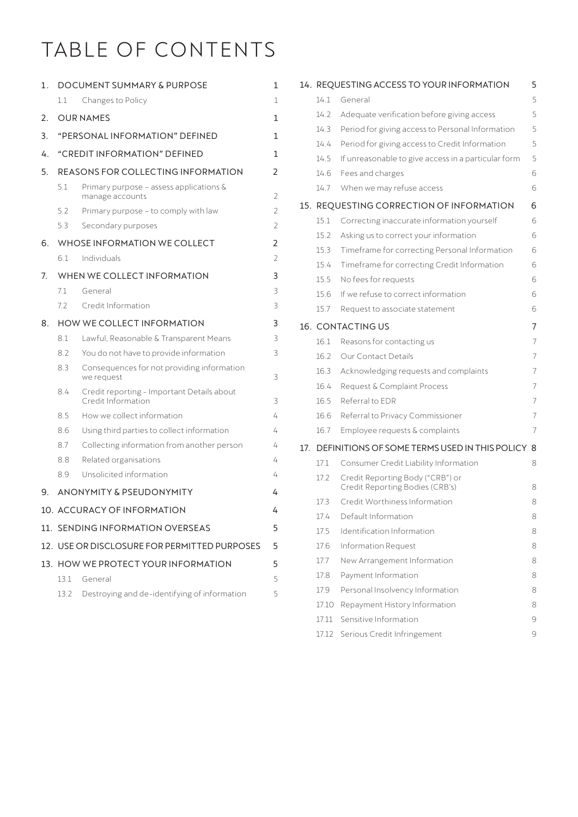# TABLE OF CONTENTS

| 1. |                                              | DOCUMENT SUMMARY & PURPOSE                                       | 1              |  |
|----|----------------------------------------------|------------------------------------------------------------------|----------------|--|
|    | $1.1\,$                                      | Changes to Policy                                                | 1              |  |
| 2. |                                              | <b>OUR NAMES</b>                                                 | 1              |  |
| 3. | "PERSONAL INFORMATION" DEFINED<br>1          |                                                                  |                |  |
| 4. | "CREDIT INFORMATION" DEFINED<br>1            |                                                                  |                |  |
| 5. | REASONS FOR COLLECTING INFORMATION           |                                                                  |                |  |
|    | 5.1                                          | Primary purpose – assess applications $\&$<br>manage accounts    | 2              |  |
|    | 5.2                                          | Primary purpose - to comply with law                             | 2              |  |
|    | 5.3                                          | Secondary purposes                                               | $\overline{2}$ |  |
| 6. | WHOSE INFORMATION WE COLLECT                 |                                                                  |                |  |
|    | 6.1                                          | Individuals                                                      | 2              |  |
| 7. | WHEN WE COLLECT INFORMATION                  |                                                                  |                |  |
|    | 71                                           | General                                                          | 3              |  |
|    | 7.2                                          | Credit Information                                               | 3              |  |
| 8. |                                              | HOW WE COLLECT INFORMATION                                       | 3              |  |
|    | 8.1                                          | Lawful, Reasonable & Transparent Means                           | 3              |  |
|    | 8.2                                          | You do not have to provide information                           | 3              |  |
|    | 8.3                                          | Consequences for not providing information<br>we request         | 3              |  |
|    | 8.4                                          | Credit reporting - Important Details about<br>Credit Information | 3              |  |
|    | 8.5                                          | How we collect information                                       | 4              |  |
|    | 8.6                                          | Using third parties to collect information                       | 4              |  |
|    | 8.7                                          | Collecting information from another person                       | 4              |  |
|    | 8.8                                          | Related organisations                                            | 4              |  |
|    | 8.9                                          | Unsolicited information                                          | 4              |  |
| 9. |                                              | <b>ANONYMITY &amp; PSEUDONYMITY</b>                              | 4              |  |
|    |                                              | 10. ACCURACY OF INFORMATION                                      | 4              |  |
|    | 11. SENDING INFORMATION OVERSEAS             |                                                                  | 5              |  |
|    | 12. USE OR DISCLOSURE FOR PERMITTED PURPOSES |                                                                  | 5              |  |
|    |                                              | 13. HOW WE PROTECT YOUR INFORMATION                              | 5              |  |
|    | 13.1                                         | General                                                          | 5              |  |
|    | 13.2                                         | Destroying and de-identifying of information                     | 5              |  |

|     |                                               | 14. REQUESTING ACCESS TO YOUR INFORMATION                           | 5 |  |  |
|-----|-----------------------------------------------|---------------------------------------------------------------------|---|--|--|
|     | 14.1                                          | General                                                             | 5 |  |  |
|     | 14.2                                          | Adequate verification before giving access                          | 5 |  |  |
|     | 14.3                                          | Period for giving access to Personal Information                    | 5 |  |  |
|     | 14.4                                          | Period for giving access to Credit Information                      | 5 |  |  |
|     | 14.5                                          | If unreasonable to give access in a particular form                 | 5 |  |  |
|     | 14.6                                          | Fees and charges                                                    | 6 |  |  |
|     | 14.7                                          | When we may refuse access                                           | 6 |  |  |
|     | 15. REQUESTING CORRECTION OF INFORMATION<br>6 |                                                                     |   |  |  |
|     | 15.1                                          | Correcting inaccurate information yourself                          | 6 |  |  |
|     | 15.2                                          | Asking us to correct your information                               | 6 |  |  |
|     | 15.3                                          | Timeframe for correcting Personal Information                       | 6 |  |  |
|     | 15.4                                          | Timeframe for correcting Credit Information                         | 6 |  |  |
|     | 15.5                                          | No fees for requests                                                | 6 |  |  |
|     | 15.6                                          | If we refuse to correct information                                 | 6 |  |  |
|     | 15.7                                          | Request to associate statement                                      | 6 |  |  |
|     | <b>16. CONTACTING US</b><br>7                 |                                                                     |   |  |  |
|     | 16.1                                          | Reasons for contacting us                                           | 7 |  |  |
|     | 16.2                                          | <b>Our Contact Details</b>                                          | 7 |  |  |
|     | 16.3                                          | Acknowledging requests and complaints                               | 7 |  |  |
|     | 16.4                                          | Request & Complaint Process                                         | 7 |  |  |
|     | 16.5                                          | Referral to EDR                                                     | 7 |  |  |
|     | 16.6                                          | Referral to Privacy Commissioner                                    | 7 |  |  |
|     | 16.7                                          | Employee requests & complaints                                      | 7 |  |  |
| 17. |                                               | DEFINITIONS OF SOME TERMS USED IN THIS POLICY<br>8                  |   |  |  |
|     | 17.1                                          | Consumer Credit Liability Information                               | 8 |  |  |
|     | 17.2                                          | Credit Reporting Body ("CRB") or<br>Credit Reporting Bodies (CRB's) | 8 |  |  |
|     | 17.3                                          | Credit Worthiness Information                                       | 8 |  |  |
|     | 17.4                                          | Default Information                                                 | 8 |  |  |
|     | 17.5                                          | Identification Information                                          | 8 |  |  |
|     | 17.6                                          | <b>Information Request</b>                                          | 8 |  |  |
|     | 17.7                                          | New Arrangement Information                                         | 8 |  |  |
|     | 17.8                                          | Payment Information                                                 | 8 |  |  |
|     | 17.9                                          | Personal Insolvency Information                                     | 8 |  |  |
|     | 17.10                                         | Repayment History Information                                       | 8 |  |  |
|     | 17.11                                         | Sensitive Information                                               | 9 |  |  |
|     |                                               | 17.12 Serious Credit Infringement                                   | 9 |  |  |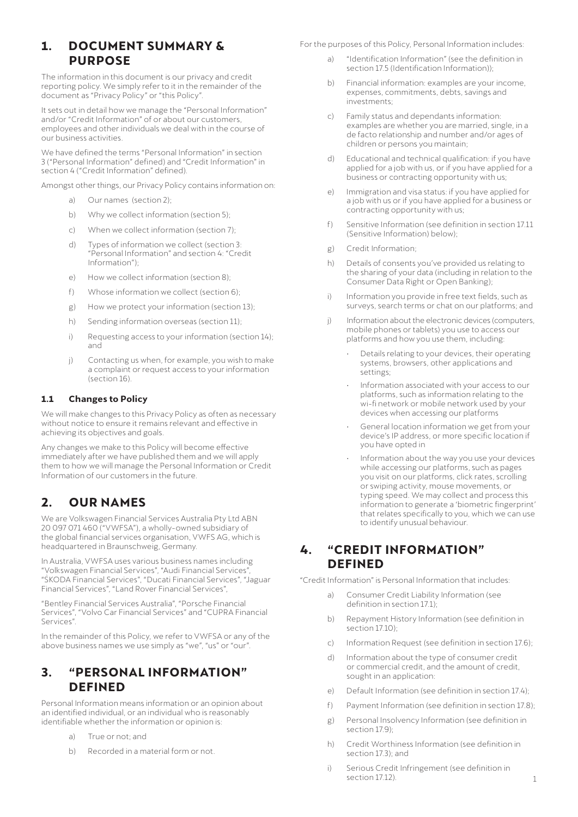# <span id="page-2-0"></span>**1. DOCUMENT SUMMARY & PURPOSE**

The information in this document is our privacy and credit reporting policy. We simply refer to it in the remainder of the document as "Privacy Policy" or "this Policy".

It sets out in detail how we manage the "Personal Information" and/or "Credit Information" of or about our customers, employees and other individuals we deal with in the course of our business activities.

We have defined the terms "Personal Information" in section 3 ("Personal Information" defined) and "Credit Information" in section 4 ("Credit Information" defined).

Amongst other things, our Privacy Policy contains information on:

- a) Our names (section 2);
- b) Why we collect information (section 5);
- c) When we collect information (section 7);
- d) Types of information we collect (section 3: "Personal Information" and section 4: "Credit Information");
- e) How we collect information (section 8);
- f) Whose information we collect (section 6):
- g) How we protect your information (section 13);
- h) Sending information overseas (section 11);
- i) Requesting access to your information (section 14); and
- j) Contacting us when, for example, you wish to make a complaint or request access to your information (section 16).

### **1.1 Changes to Policy**

We will make changes to this Privacy Policy as often as necessary without notice to ensure it remains relevant and effective in achieving its objectives and goals.

Any changes we make to this Policy will become effective immediately after we have published them and we will apply them to how we will manage the Personal Information or Credit Information of our customers in the future.

# **2. OUR NAMES**

We are Volkswagen Financial Services Australia Pty Ltd ABN 20 097 071 460 ("VWFSA"), a wholly-owned subsidiary of the global financial services organisation, VWFS AG, which is headquartered in Braunschweig, Germany.

In Australia, VWFSA uses various business names including "Volkswagen Financial Services", "Audi Financial Services", "ŠKODA Financial Services", "Ducati Financial Services", "Jaguar Financial Services", "Land Rover Financial Services",

"Bentley Financial Services Australia", "Porsche Financial Services", "Volvo Car Financial Services" and "CUPRA Financial Services".

In the remainder of this Policy, we refer to VWFSA or any of the above business names we use simply as "we", "us" or "our".

# **3. "PERSONAL INFORMATION" DEFINED**

Personal Information means information or an opinion about an identified individual, or an individual who is reasonably identifiable whether the information or opinion is:

- a) True or not; and
- b) Recorded in a material form or not.

For the purposes of this Policy, Personal Information includes:

- a) "Identification Information" (see the definition in section 17.5 (Identification Information));
- b) Financial information: examples are your income, expenses, commitments, debts, savings and investments;
- c) Family status and dependants information: examples are whether you are married, single, in a de facto relationship and number and/or ages of children or persons you maintain;
- d) Educational and technical qualification: if you have applied for a job with us, or if you have applied for a business or contracting opportunity with us;
- e) Immigration and visa status: if you have applied for a job with us or if you have applied for a business or contracting opportunity with us;
- f) Sensitive Information (see definition in section 17.11 (Sensitive Information) below);
- g) Credit Information;
- h) Details of consents you've provided us relating to the sharing of your data (including in relation to the Consumer Data Right or Open Banking);
- i) Information you provide in free text fields, such as surveys, search terms or chat on our platforms; and
- j) Information about the electronic devices (computers, mobile phones or tablets) you use to access our platforms and how you use them, including:
	- Details relating to your devices, their operating systems, browsers, other applications and settings;
	- Information associated with your access to our platforms, such as information relating to the wi-fi network or mobile network used by your devices when accessing our platforms
	- General location information we get from your device's IP address, or more specific location if you have opted in
	- Information about the way you use your devices while accessing our platforms, such as pages you visit on our platforms, click rates, scrolling or swiping activity, mouse movements, or typing speed. We may collect and process this information to generate a 'biometric fingerprint' that relates specifically to you, which we can use to identify unusual behaviour.

# **4. "CREDIT INFORMATION" DEFINED**

"Credit Information" is Personal Information that includes:

- a) Consumer Credit Liability Information (see definition in section 17.1);
- b) Repayment History Information (see definition in section 17.10);
- c) Information Request (see definition in section 17.6);
- d) Information about the type of consumer credit or commercial credit, and the amount of credit, sought in an application:
- e) Default Information (see definition in section 17.4);
- f) Payment Information (see definition in section 17.8);
- g) Personal Insolvency Information (see definition in section 17.9);
- h) Credit Worthiness Information (see definition in section 17.3); and
- i) Serious Credit Infringement (see definition in section 17.12).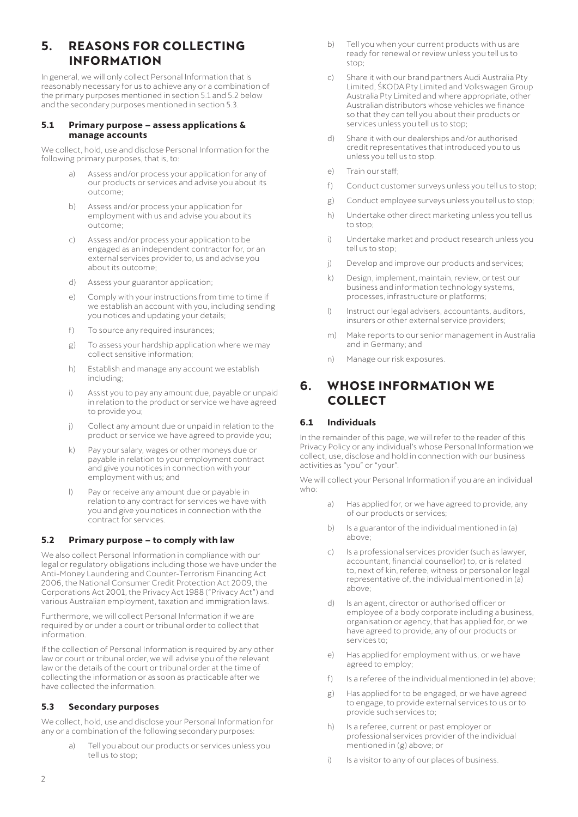# <span id="page-3-0"></span>**5. REASONS FOR COLLECTING INFORMATION**

In general, we will only collect Personal Information that is reasonably necessary for us to achieve any or a combination of the primary purposes mentioned in section 5.1 and 5.2 below and the secondary purposes mentioned in section 5.3.

#### **5.1 Primary purpose – assess applications & manage accounts**

We collect, hold, use and disclose Personal Information for the following primary purposes, that is, to:

- Assess and/or process your application for any of our products or services and advise you about its outcome;
- b) Assess and/or process your application for employment with us and advise you about its outcome;
- c) Assess and/or process your application to be engaged as an independent contractor for, or an external services provider to, us and advise you about its outcome;
- d) Assess your guarantor application;
- e) Comply with your instructions from time to time if we establish an account with you, including sending you notices and updating your details;
- f) To source any required insurances;
- g) To assess your hardship application where we may collect sensitive information;
- h) Establish and manage any account we establish including;
- i) Assist you to pay any amount due, payable or unpaid in relation to the product or service we have agreed to provide you;
- j) Collect any amount due or unpaid in relation to the product or service we have agreed to provide you;
- k) Pay your salary, wages or other moneys due or payable in relation to your employment contract and give you notices in connection with your employment with us; and
- l) Pay or receive any amount due or payable in relation to any contract for services we have with you and give you notices in connection with the contract for services.

# **5.2 Primary purpose – to comply with law**

We also collect Personal Information in compliance with our legal or regulatory obligations including those we have under the Anti-Money Laundering and Counter-Terrorism Financing Act 2006, the National Consumer Credit Protection Act 2009, the Corporations Act 2001, the Privacy Act 1988 ("Privacy Act") and various Australian employment, taxation and immigration laws.

Furthermore, we will collect Personal Information if we are required by or under a court or tribunal order to collect that information.

If the collection of Personal Information is required by any other law or court or tribunal order, we will advise you of the relevant law or the details of the court or tribunal order at the time of collecting the information or as soon as practicable after we have collected the information.

# **5.3 Secondary purposes**

We collect, hold, use and disclose your Personal Information for any or a combination of the following secondary purposes:

> a) Tell you about our products or services unless you tell us to stop;

- b) Tell you when your current products with us are ready for renewal or review unless you tell us to stop;
- c) Share it with our brand partners Audi Australia Pty Limited, ŠKODA Pty Limited and Volkswagen Group Australia Pty Limited and where appropriate, other Australian distributors whose vehicles we finance so that they can tell you about their products or services unless you tell us to stop;
- d) Share it with our dealerships and/or authorised credit representatives that introduced you to us unless you tell us to stop.
- e) Train our staffs
- f) Conduct customer surveys unless you tell us to stop;
- g) Conduct employee surveys unless you tell us to stop;
- h) Undertake other direct marketing unless you tell us to stop;
- i) Undertake market and product research unless you tell us to stop;
- j) Develop and improve our products and services;
- k) Design, implement, maintain, review, or test our business and information technology systems, processes, infrastructure or platforms;
- l) Instruct our legal advisers, accountants, auditors, insurers or other external service providers;
- m) Make reports to our senior management in Australia and in Germany; and
- n) Manage our risk exposures.

# **6. WHOSE INFORMATION WE COLLECT**

# **6.1 Individuals**

In the remainder of this page, we will refer to the reader of this Privacy Policy or any individual's whose Personal Information we collect, use, disclose and hold in connection with our business activities as "you" or "your".

We will collect your Personal Information if you are an individual who:

- a) Has applied for, or we have agreed to provide, any of our products or services;
- b) Is a guarantor of the individual mentioned in (a) above;
- c) Is a professional services provider (such as lawyer, accountant, financial counsellor) to, or is related to, next of kin, referee, witness or personal or legal representative of, the individual mentioned in (a) above;
- d) Is an agent, director or authorised officer or employee of a body corporate including a business, organisation or agency, that has applied for, or we have agreed to provide, any of our products or services to;
- e) Has applied for employment with us, or we have agreed to employ;
- f) Is a referee of the individual mentioned in (e) above;
- g) Has applied for to be engaged, or we have agreed to engage, to provide external services to us or to provide such services to;
- h) Is a referee, current or past employer or professional services provider of the individual mentioned in (g) above; or
- i) Is a visitor to any of our places of business.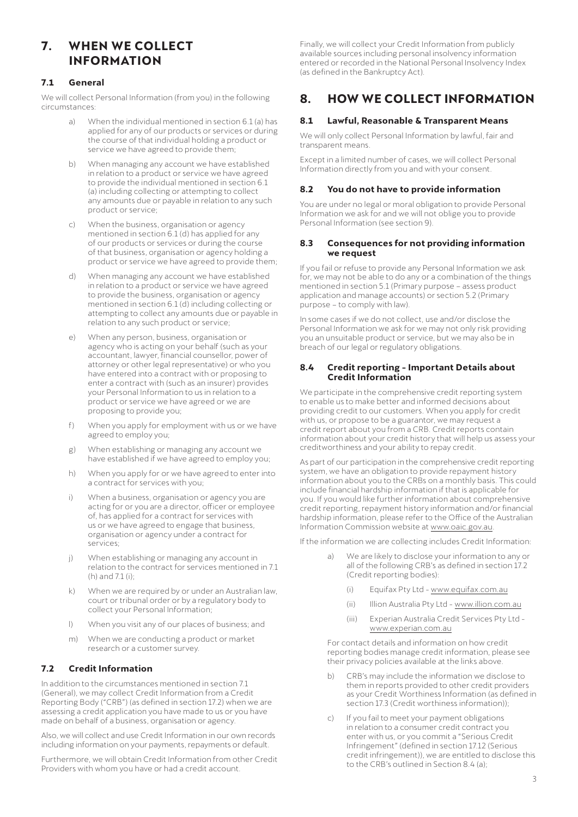# <span id="page-4-0"></span>**7. WHEN WE COLLECT INFORMATION**

# **7.1 General**

We will collect Personal Information (from you) in the following circumstances:

- a) When the individual mentioned in section 6.1 (a) has applied for any of our products or services or during the course of that individual holding a product or service we have agreed to provide them;
- b) When managing any account we have established in relation to a product or service we have agreed to provide the individual mentioned in section 6.1 (a) including collecting or attempting to collect any amounts due or payable in relation to any such product or service;
- c) When the business, organisation or agency mentioned in section 6.1 (d) has applied for any of our products or services or during the course of that business, organisation or agency holding a product or service we have agreed to provide them;
- d) When managing any account we have established in relation to a product or service we have agreed to provide the business, organisation or agency mentioned in section 6.1 (d) including collecting or attempting to collect any amounts due or payable in relation to any such product or service;
- e) When any person, business, organisation or agency who is acting on your behalf (such as your accountant, lawyer, financial counsellor, power of attorney or other legal representative) or who you have entered into a contract with or proposing to enter a contract with (such as an insurer) provides your Personal Information to us in relation to a product or service we have agreed or we are proposing to provide you;
- f) When you apply for employment with us or we have agreed to employ you;
- g) When establishing or managing any account we have established if we have agreed to employ you;
- h) When you apply for or we have agreed to enter into a contract for services with you;
- i) When a business, organisation or agency you are acting for or you are a director, officer or employee of, has applied for a contract for services with us or we have agreed to engage that business, organisation or agency under a contract for services;
- j) When establishing or managing any account in relation to the contract for services mentioned in 7.1 (h) and  $71$  (i) $\cdot$
- k) When we are required by or under an Australian law, court or tribunal order or by a regulatory body to collect your Personal Information;
- l) When you visit any of our places of business; and
- m) When we are conducting a product or market research or a customer survey.

# **7.2 Credit Information**

In addition to the circumstances mentioned in section 7.1 (General), we may collect Credit Information from a Credit Reporting Body ("CRB") (as defined in section 17.2) when we are assessing a credit application you have made to us or you have made on behalf of a business, organisation or agency.

Also, we will collect and use Credit Information in our own records including information on your payments, repayments or default.

Furthermore, we will obtain Credit Information from other Credit Providers with whom you have or had a credit account.

Finally, we will collect your Credit Information from publicly available sources including personal insolvency information entered or recorded in the National Personal Insolvency Index (as defined in the Bankruptcy Act).

# **8. HOW WE COLLECT INFORMATION**

# **8.1 Lawful, Reasonable & Transparent Means**

We will only collect Personal Information by lawful, fair and transparent means.

Except in a limited number of cases, we will collect Personal Information directly from you and with your consent.

# **8.2 You do not have to provide information**

You are under no legal or moral obligation to provide Personal Information we ask for and we will not oblige you to provide Personal Information (see section 9).

#### **8.3 Consequences for not providing information we request**

If you fail or refuse to provide any Personal Information we ask for, we may not be able to do any or a combination of the things mentioned in section 5.1 (Primary purpose – assess product application and manage accounts) or section 5.2 (Primary purpose – to comply with law).

In some cases if we do not collect, use and/or disclose the Personal Information we ask for we may not only risk providing you an unsuitable product or service, but we may also be in breach of our legal or regulatory obligations.

#### **8.4 Credit reporting - Important Details about Credit Information**

We participate in the comprehensive credit reporting system to enable us to make better and informed decisions about providing credit to our customers. When you apply for credit with us, or propose to be a guarantor, we may request a credit report about you from a CRB. Credit reports contain information about your credit history that will help us assess your creditworthiness and your ability to repay credit.

As part of our participation in the comprehensive credit reporting system, we have an obligation to provide repayment history information about you to the CRBs on a monthly basis. This could include financial hardship information if that is applicable for you. If you would like further information about comprehensive credit reporting, repayment history information and/or financial hardship information, please refer to the Office of the Australian Information Commission website at [www.oaic.gov.au.](http://www.oaic.gov.au)

If the information we are collecting includes Credit Information:

- a) We are likely to disclose your information to any or all of the following CRB's as defined in section 17.2 (Credit reporting bodies):
	- (i) Equifax Pty Ltd [www.equifax.com.au](http://www.equifax.com.au)
	- (ii) Illion Australia Pty Ltd - [www.illion.com.au](http://www.illion.com.au)
	- (iii) Experian Australia Credit Services Pty Ltd [www.experian.com.au](http://www.experian.com.au)

For contact details and information on how credit reporting bodies manage credit information, please see their privacy policies available at the links above.

- b) CRB's may include the information we disclose to them in reports provided to other credit providers as your Credit Worthiness Information (as defined in section 17.3 (Credit worthiness information));
- c) If you fail to meet your payment obligations in relation to a consumer credit contract you enter with us, or you commit a "Serious Credit Infringement" (defined in section 17.12 (Serious credit infringement)), we are entitled to disclose this to the CRB's outlined in Section 8.4 (a);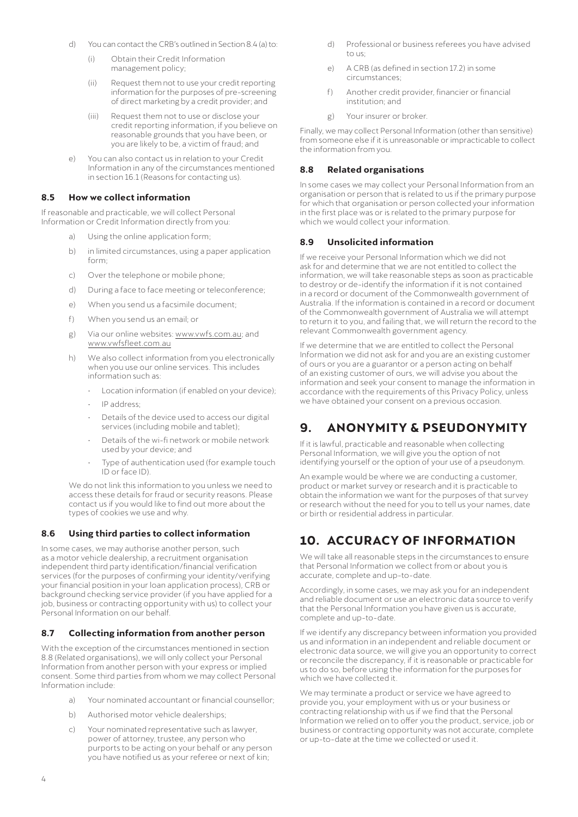- <span id="page-5-0"></span>d) You can contact the CRB's outlined in Section 8.4 (a) to:
	- (i) Obtain their Credit Information management policy;
	- (ii) Request them not to use your credit reporting information for the purposes of pre-screening of direct marketing by a credit provider; and
	- (iii) Request them not to use or disclose your credit reporting information, if you believe on reasonable grounds that you have been, or you are likely to be, a victim of fraud; and
- e) You can also contact us in relation to your Credit Information in any of the circumstances mentioned in section 16.1 (Reasons for contacting us).

#### **8.5 How we collect information**

If reasonable and practicable, we will collect Personal Information or Credit Information directly from you:

- Using the online application form;
- b) in limited circumstances, using a paper application form;
- c) Over the telephone or mobile phone;
- d) During a face to face meeting or teleconference;
- e) When you send us a facsimile document;
- f) When you send us an email; or
- g) Via our online websites: [www.vwfs.com.au;](http://www.vwfs.com.au) and [www.vwfsfleet.com.au](http://www.vwfsfleet.com.au)
- h) We also collect information from you electronically when you use our online services. This includes information such as:
	- Location information (if enabled on your device);
	- IP address;
	- Details of the device used to access our digital services (including mobile and tablet);
	- Details of the wi-fi network or mobile network used by your device; and
	- Type of authentication used (for example touch ID or face ID).

We do not link this information to you unless we need to access these details for fraud or security reasons. Please contact us if you would like to find out more about the types of cookies we use and why.

# **8.6 Using third parties to collect information**

In some cases, we may authorise another person, such as a motor vehicle dealership, a recruitment organisation independent third party identification/financial verification services (for the purposes of confirming your identity/verifying your financial position in your loan application process), CRB or background checking service provider (if you have applied for a job, business or contracting opportunity with us) to collect your Personal Information on our behalf.

### **8.7 Collecting information from another person**

With the exception of the circumstances mentioned in section 8.8 (Related organisations), we will only collect your Personal Information from another person with your express or implied consent. Some third parties from whom we may collect Personal Information include:

- a) Your nominated accountant or financial counsellor;
- b) Authorised motor vehicle dealerships;
- c) Your nominated representative such as lawyer, power of attorney, trustee, any person who purports to be acting on your behalf or any person you have notified us as your referee or next of kin;
- d) Professional or business referees you have advised  $t \cap \cup c$ ;
- e) A CRB (as defined in section 17.2) in some circumstances;
- f) Another credit provider, financier or financial institution; and
- g) Your insurer or broker.

Finally, we may collect Personal Information (other than sensitive) from someone else if it is unreasonable or impracticable to collect the information from you.

#### **8.8 Related organisations**

In some cases we may collect your Personal Information from an organisation or person that is related to us if the primary purpose for which that organisation or person collected your information in the first place was or is related to the primary purpose for which we would collect your information.

#### **8.9 Unsolicited information**

If we receive your Personal Information which we did not ask for and determine that we are not entitled to collect the information, we will take reasonable steps as soon as practicable to destroy or de-identify the information if it is not contained in a record or document of the Commonwealth government of Australia. If the information is contained in a record or document of the Commonwealth government of Australia we will attempt to return it to you, and failing that, we will return the record to the relevant Commonwealth government agency.

If we determine that we are entitled to collect the Personal Information we did not ask for and you are an existing customer of ours or you are a guarantor or a person acting on behalf of an existing customer of ours, we will advise you about the information and seek your consent to manage the information in accordance with the requirements of this Privacy Policy, unless we have obtained your consent on a previous occasion.

# **9. ANONYMITY & PSEUDONYMITY**

If it is lawful, practicable and reasonable when collecting Personal Information, we will give you the option of not identifying yourself or the option of your use of a pseudonym.

An example would be where we are conducting a customer, product or market survey or research and it is practicable to obtain the information we want for the purposes of that survey or research without the need for you to tell us your names, date or birth or residential address in particular.

# **10. ACCURACY OF INFORMATION**

We will take all reasonable steps in the circumstances to ensure that Personal Information we collect from or about you is accurate, complete and up-to-date.

Accordingly, in some cases, we may ask you for an independent and reliable document or use an electronic data source to verify that the Personal Information you have given us is accurate, complete and up-to-date.

If we identify any discrepancy between information you provided us and information in an independent and reliable document or electronic data source, we will give you an opportunity to correct or reconcile the discrepancy, if it is reasonable or practicable for us to do so, before using the information for the purposes for which we have collected it.

We may terminate a product or service we have agreed to provide you, your employment with us or your business or contracting relationship with us if we find that the Personal Information we relied on to offer you the product, service, job or business or contracting opportunity was not accurate, complete or up-to-date at the time we collected or used it.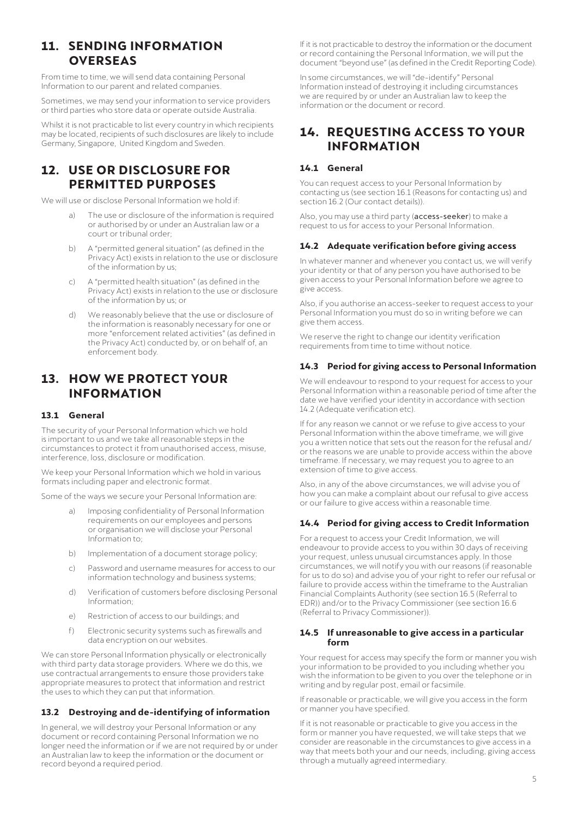# <span id="page-6-0"></span>**11. SENDING INFORMATION OVERSEAS**

From time to time, we will send data containing Personal Information to our parent and related companies.

Sometimes, we may send your information to service providers or third parties who store data or operate outside Australia.

Whilst it is not practicable to list every country in which recipients may be located, recipients of such disclosures are likely to include Germany, Singapore, United Kingdom and Sweden.

# **12. USE OR DISCLOSURE FOR PERMITTED PURPOSES**

We will use or disclose Personal Information we hold if:

- a) The use or disclosure of the information is required or authorised by or under an Australian law or a court or tribunal order;
- b) A "permitted general situation" (as defined in the Privacy Act) exists in relation to the use or disclosure of the information by us;
- c) A "permitted health situation" (as defined in the Privacy Act) exists in relation to the use or disclosure of the information by us; or
- d) We reasonably believe that the use or disclosure of the information is reasonably necessary for one or more "enforcement related activities" (as defined in the Privacy Act) conducted by, or on behalf of, an enforcement body.

# **13. HOW WE PROTECT YOUR INFORMATION**

### **13.1 General**

The security of your Personal Information which we hold is important to us and we take all reasonable steps in the circumstances to protect it from unauthorised access, misuse, interference, loss, disclosure or modification.

We keep your Personal Information which we hold in various formats including paper and electronic format.

Some of the ways we secure your Personal Information are:

- Imposing confidentiality of Personal Information requirements on our employees and persons or organisation we will disclose your Personal Information to;
- b) Implementation of a document storage policy;
- c) Password and username measures for access to our information technology and business systems;
- d) Verification of customers before disclosing Personal Information;
- e) Restriction of access to our buildings; and
- f) Electronic security systems such as firewalls and data encryption on our websites.

We can store Personal Information physically or electronically with third party data storage providers. Where we do this, we use contractual arrangements to ensure those providers take appropriate measures to protect that information and restrict the uses to which they can put that information.

### **13.2 Destroying and de-identifying of information**

In general, we will destroy your Personal Information or any document or record containing Personal Information we no longer need the information or if we are not required by or under an Australian law to keep the information or the document or record beyond a required period.

If it is not practicable to destroy the information or the document or record containing the Personal Information, we will put the document "beyond use" (as defined in the Credit Reporting Code).

In some circumstances, we will "de-identify" Personal Information instead of destroying it including circumstances we are required by or under an Australian law to keep the information or the document or record.

# **14. REQUESTING ACCESS TO YOUR INFORMATION**

# **14.1 General**

You can request access to your Personal Information by contacting us (see section 16.1 (Reasons for contacting us) and section 16.2 (Our contact details)).

Also, you may use a third party (access-seeker) to make a request to us for access to your Personal Information.

### **14.2 Adequate verification before giving access**

In whatever manner and whenever you contact us, we will verify your identity or that of any person you have authorised to be given access to your Personal Information before we agree to give access.

Also, if you authorise an access-seeker to request access to your Personal Information you must do so in writing before we can give them access.

We reserve the right to change our identity verification requirements from time to time without notice.

#### **14.3 Period for giving access to Personal Information**

We will endeavour to respond to your request for access to your Personal Information within a reasonable period of time after the date we have verified your identity in accordance with section 14.2 (Adequate verification etc).

If for any reason we cannot or we refuse to give access to your Personal Information within the above timeframe, we will give you a written notice that sets out the reason for the refusal and/ or the reasons we are unable to provide access within the above timeframe. If necessary, we may request you to agree to an extension of time to give access.

Also, in any of the above circumstances, we will advise you of how you can make a complaint about our refusal to give access or our failure to give access within a reasonable time.

#### **14.4 Period for giving access to Credit Information**

For a request to access your Credit Information, we will endeavour to provide access to you within 30 days of receiving your request, unless unusual circumstances apply. In those circumstances, we will notify you with our reasons (if reasonable for us to do so) and advise you of your right to refer our refusal or failure to provide access within the timeframe to the Australian Financial Complaints Authority (see section 16.5 (Referral to EDR)) and/or to the Privacy Commissioner (see section 16.6 (Referral to Privacy Commissioner)).

#### **14.5 If unreasonable to give access in a particular form**

Your request for access may specify the form or manner you wish your information to be provided to you including whether you wish the information to be given to you over the telephone or in writing and by regular post, email or facsimile.

If reasonable or practicable, we will give you access in the form or manner you have specified.

If it is not reasonable or practicable to give you access in the form or manner you have requested, we will take steps that we consider are reasonable in the circumstances to give access in a way that meets both your and our needs, including, giving access through a mutually agreed intermediary.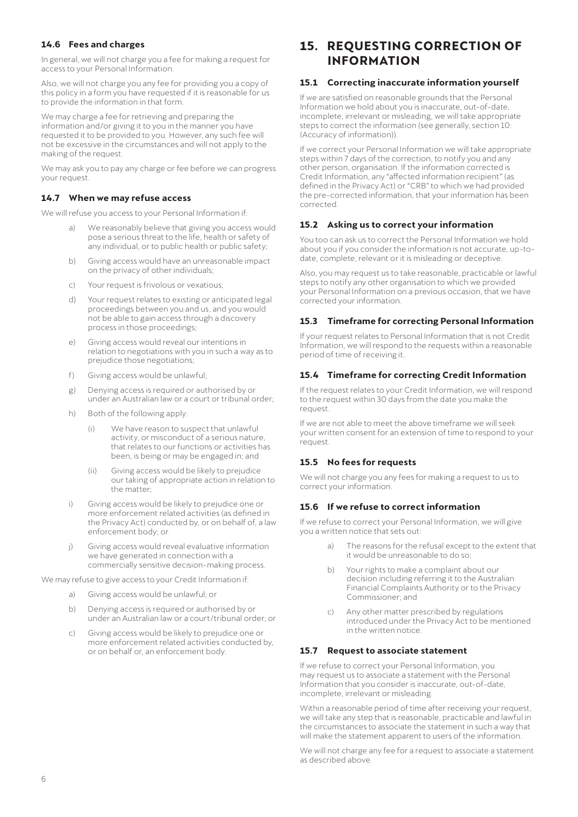# <span id="page-7-0"></span>**14.6 Fees and charges**

In general, we will not charge you a fee for making a request for access to your Personal Information.

Also, we will not charge you any fee for providing you a copy of this policy in a form you have requested if it is reasonable for us to provide the information in that form.

We may charge a fee for retrieving and preparing the information and/or giving it to you in the manner you have requested it to be provided to you. However, any such fee will not be excessive in the circumstances and will not apply to the making of the request.

We may ask you to pay any charge or fee before we can progress your request.

# **14.7 When we may refuse access**

We will refuse you access to your Personal Information if:

- We reasonably believe that giving you access would pose a serious threat to the life, health or safety of any individual, or to public health or public safety;
- b) Giving access would have an unreasonable impact on the privacy of other individuals;
- c) Your request is frivolous or vexatious;
- d) Your request relates to existing or anticipated legal proceedings between you and us, and you would not be able to gain access through a discovery process in those proceedings;
- e) Giving access would reveal our intentions in relation to negotiations with you in such a way as to prejudice those negotiations;
- f) Giving access would be unlawful;
- g) Denying access is required or authorised by or under an Australian law or a court or tribunal order;
- h) Both of the following apply:
	- (i) We have reason to suspect that unlawful activity, or misconduct of a serious nature, that relates to our functions or activities has been, is being or may be engaged in; and
	- (ii) Giving access would be likely to prejudice our taking of appropriate action in relation to the matter;
- i) Giving access would be likely to prejudice one or more enforcement related activities (as defined in the Privacy Act) conducted by, or on behalf of, a law enforcement body; or
- j) Giving access would reveal evaluative information we have generated in connection with a commercially sensitive decision-making process.

We may refuse to give access to your Credit Information if:

- a) Giving access would be unlawful; or
- b) Denying access is required or authorised by or under an Australian law or a court/tribunal order; or
- c) Giving access would be likely to prejudice one or more enforcement related activities conducted by, or on behalf or, an enforcement body.

# **15. REQUESTING CORRECTION OF INFORMATION**

# **15.1 Correcting inaccurate information yourself**

If we are satisfied on reasonable grounds that the Personal Information we hold about you is inaccurate, out-of-date, incomplete, irrelevant or misleading, we will take appropriate steps to correct the information (see generally, section 10: (Accuracy of information)).

If we correct your Personal Information we will take appropriate steps within 7 days of the correction, to notify you and any other person, organisation. If the information corrected is Credit Information, any "affected information recipient" (as defined in the Privacy Act) or "CRB" to which we had provided the pre-corrected information, that your information has been corrected.

### **15.2 Asking us to correct your information**

You too can ask us to correct the Personal Information we hold about you if you consider the information is not accurate, up-todate, complete, relevant or it is misleading or deceptive.

Also, you may request us to take reasonable, practicable or lawful steps to notify any other organisation to which we provided your Personal Information on a previous occasion, that we have corrected your information.

# **15.3 Timeframe for correcting Personal Information**

If your request relates to Personal Information that is not Credit Information, we will respond to the requests within a reasonable period of time of receiving it.

# **15.4 Timeframe for correcting Credit Information**

If the request relates to your Credit Information, we will respond to the request within 30 days from the date you make the request.

If we are not able to meet the above timeframe we will seek your written consent for an extension of time to respond to your request.

### **15.5 No fees for requests**

We will not charge you any fees for making a request to us to correct your information.

### **15.6 If we refuse to correct information**

If we refuse to correct your Personal Information, we will give you a written notice that sets out:

- a) The reasons for the refusal except to the extent that it would be unreasonable to do so;
- b) Your rights to make a complaint about our decision including referring it to the Australian Financial Complaints Authority or to the Privacy Commissioner; and
- c) Any other matter prescribed by regulations introduced under the Privacy Act to be mentioned in the written notice.

### **15.7 Request to associate statement**

If we refuse to correct your Personal Information, you may request us to associate a statement with the Personal Information that you consider is inaccurate, out-of-date, incomplete, irrelevant or misleading.

Within a reasonable period of time after receiving your request. we will take any step that is reasonable, practicable and lawful in the circumstances to associate the statement in such a way that will make the statement apparent to users of the information.

We will not charge any fee for a request to associate a statement as described above.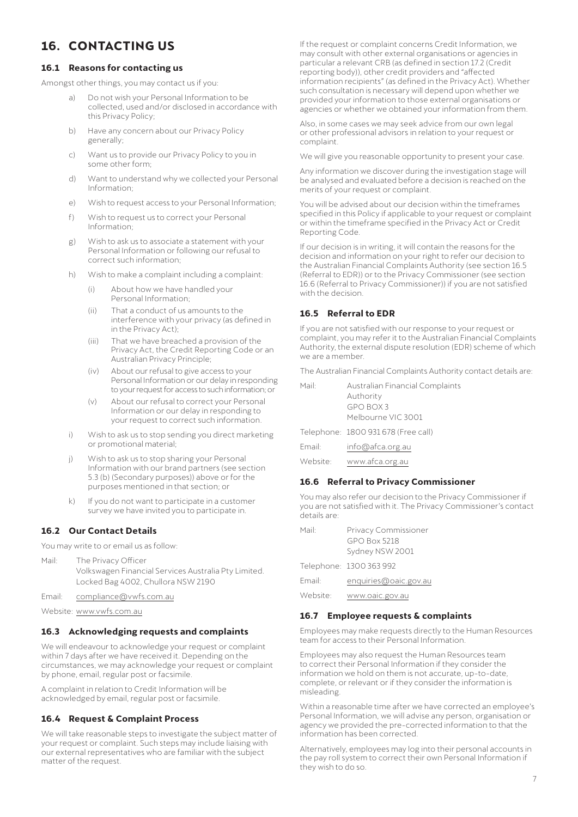# <span id="page-8-0"></span>**16. CONTACTING US**

### **16.1 Reasons for contacting us**

Amongst other things, you may contact us if you:

- Do not wish your Personal Information to be collected, used and/or disclosed in accordance with this Privacy Policy;
- b) Have any concern about our Privacy Policy generally;
- c) Want us to provide our Privacy Policy to you in some other form;
- d) Want to understand why we collected your Personal Information;
- e) Wish to request access to your Personal Information;
- f) Wish to request us to correct your Personal Information;
- g) Wish to ask us to associate a statement with your Personal Information or following our refusal to correct such information;
- h) Wish to make a complaint including a complaint:
	- (i) About how we have handled your Personal Information;
	- (ii) That a conduct of us amounts to the interference with your privacy (as defined in in the Privacy Act);
	- (iii) That we have breached a provision of the Privacy Act, the Credit Reporting Code or an Australian Privacy Principle;
	- (iv) About our refusal to give access to your Personal Information or our delay in responding to your request for access to such information; or
	- (v) About our refusal to correct your Personal Information or our delay in responding to your request to correct such information.
- i) Wish to ask us to stop sending you direct marketing or promotional material;
- j) Wish to ask us to stop sharing your Personal Information with our brand partners (see section 5.3 (b) (Secondary purposes)) above or for the purposes mentioned in that section; or
- k) If you do not want to participate in a customer survey we have invited you to participate in.

### **16.2 Our Contact Details**

You may write to or email us as follow:

Mail: The Privacy Officer Volkswagen Financial Services Australia Pty Limited. Locked Bag 4002, Chullora NSW 2190

Email: [compliance@vwfs.com.au](mailto:compliance%40vwfs.com.au?subject=)

Website: [www.vwfs.com.au](http://www.vwfs.com.au)

#### **16.3 Acknowledging requests and complaints**

We will endeavour to acknowledge your request or complaint within 7 days after we have received it. Depending on the circumstances, we may acknowledge your request or complaint by phone, email, regular post or facsimile.

A complaint in relation to Credit Information will be acknowledged by email, regular post or facsimile.

#### **16.4 Request & Complaint Process**

We will take reasonable steps to investigate the subject matter of your request or complaint. Such steps may include liaising with our external representatives who are familiar with the subject matter of the request.

If the request or complaint concerns Credit Information, we may consult with other external organisations or agencies in particular a relevant CRB (as defined in section 17.2 (Credit reporting body)), other credit providers and "affected information recipients" (as defined in the Privacy Act). Whether such consultation is necessary will depend upon whether we provided your information to those external organisations or agencies or whether we obtained your information from them.

Also, in some cases we may seek advice from our own legal or other professional advisors in relation to your request or complaint.

We will give you reasonable opportunity to present your case.

Any information we discover during the investigation stage will be analysed and evaluated before a decision is reached on the merits of your request or complaint.

You will be advised about our decision within the timeframes specified in this Policy if applicable to your request or complaint or within the timeframe specified in the Privacy Act or Credit Reporting Code.

If our decision is in writing, it will contain the reasons for the decision and information on your right to refer our decision to the Australian Financial Complaints Authority (see section 16.5 (Referral to EDR)) or to the Privacy Commissioner (see section 16.6 (Referral to Privacy Commissioner)) if you are not satisfied with the decision.

# **16.5 Referral to EDR**

If you are not satisfied with our response to your request or complaint, you may refer it to the Australian Financial Complaints Authority, the external dispute resolution (EDR) scheme of which we are a member.

The Australian Financial Complaints Authority contact details are:

| Mail:    | Australian Financial Complaints     |
|----------|-------------------------------------|
|          | Authority                           |
|          | GPO BOX 3                           |
|          | Melbourne VIC 3001                  |
|          | Telephone: 1800 931 678 (Free call) |
| Email:   | info@afca.org.au                    |
| Website: | www.afca.org.au                     |

### **16.6 Referral to Privacy Commissioner**

You may also refer our decision to the Privacy Commissioner if you are not satisfied with it. The Privacy Commissioner's contact details are:

| Mail·    | Privacy Commissioner    |
|----------|-------------------------|
|          | $GPO$ Box 5218          |
|          | Sydney NSW 2001         |
|          | Telephone: 1300 363 992 |
| Fmail:   | enquiries@oaic.gov.au   |
| Website: | www.oaic.gov.au         |

#### **16.7 Employee requests & complaints**

Employees may make requests directly to the Human Resources team for access to their Personal Information.

Employees may also request the Human Resources team to correct their Personal Information if they consider the information we hold on them is not accurate, up-to-date, complete, or relevant or if they consider the information is misleading.

Within a reasonable time after we have corrected an employee's Personal Information, we will advise any person, organisation or agency we provided the pre-corrected information to that the information has been corrected.

Alternatively, employees may log into their personal accounts in the pay roll system to correct their own Personal Information if they wish to do so.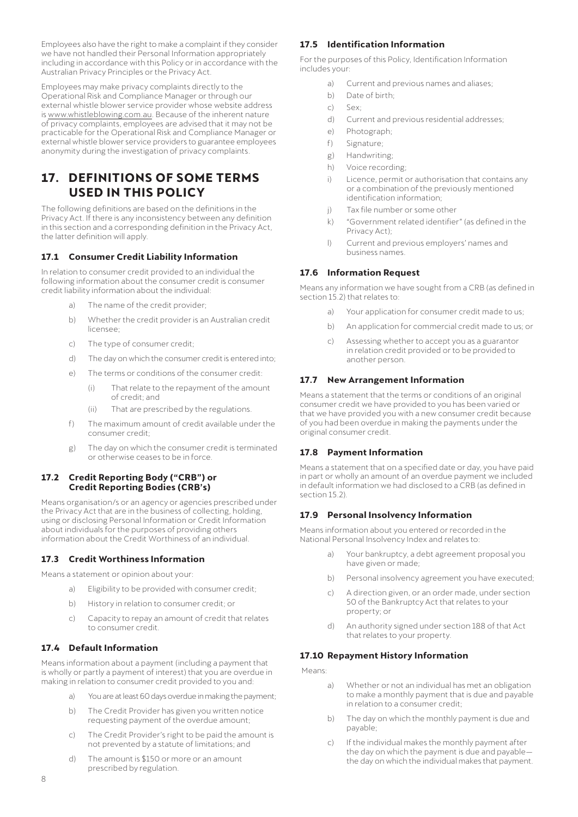<span id="page-9-0"></span>Employees also have the right to make a complaint if they consider emprey ses also have the institutional Information appropriately including in accordance with this Policy or in accordance with the Australian Privacy Principles or the Privacy Act.

Employees may make privacy complaints directly to the Operational Risk and Compliance Manager or through our external whistle blower service provider whose website address is [www.whistleblowing.com.au.](http://www.whistleblowing.com.au) Because of the inherent nature of privacy complaints, employees are advised that it may not be practicable for the Operational Risk and Compliance Manager or external whistle blower service providers to guarantee employees anonymity during the investigation of privacy complaints.

# **17. DEFINITIONS OF SOME TERMS USED IN THIS POLICY**

The following definitions are based on the definitions in the Privacy Act. If there is any inconsistency between any definition in this section and a corresponding definition in the Privacy Act, the latter definition will apply.

# **17.1 Consumer Credit Liability Information**

In relation to consumer credit provided to an individual the following information about the consumer credit is consumer credit liability information about the individual:

- a) The name of the credit provider;
- b) Whether the credit provider is an Australian credit licensee;
- c) The type of consumer credit;
- d) The day on which the consumer credit is entered into;
- e) The terms or conditions of the consumer credit:
	- (i) That relate to the repayment of the amount of credit; and
	- (ii) That are prescribed by the regulations.
- f) The maximum amount of credit available under the consumer credit;
- g) The day on which the consumer credit is terminated or otherwise ceases to be in force.

#### **17.2 Credit Reporting Body ("CRB") or Credit Reporting Bodies (CRB's)**

Means organisation/s or an agency or agencies prescribed under the Privacy Act that are in the business of collecting, holding, using or disclosing Personal Information or Credit Information about individuals for the purposes of providing others information about the Credit Worthiness of an individual.

### **17.3 Credit Worthiness Information**

Means a statement or opinion about your:

- a) Eligibility to be provided with consumer credit;
- b) History in relation to consumer credit; or
- c) Capacity to repay an amount of credit that relates to consumer credit.

### **17.4 Default Information**

Means information about a payment (including a payment that is wholly or partly a payment of interest) that you are overdue in making in relation to consumer credit provided to you and:

- a) You are at least 60 days overdue in making the payment;
- b) The Credit Provider has given you written notice requesting payment of the overdue amount;
- c) The Credit Provider's right to be paid the amount is not prevented by a statute of limitations; and
- d) The amount is \$150 or more or an amount prescribed by regulation.

#### **17.5 Identification Information**

For the purposes of this Policy, Identification Information includes your:

- a) Current and previous names and aliases;
- b) Date of birth;
- c) Sex;
- d) Current and previous residential addresses;
- e) Photograph;
- f) Signature;
- g) Handwriting;
- h) Voice recording;
- i) Licence, permit or authorisation that contains any or a combination of the previously mentioned identification information;
- j) Tax file number or some other
- k) "Government related identifier" (as defined in the Privacy Act);
- l) Current and previous employers' names and business names.

#### **17.6 Information Request**

Means any information we have sought from a CRB (as defined in section 15.2) that relates to:

- a) Your application for consumer credit made to us;
- b) An application for commercial credit made to us; or
- c) Assessing whether to accept you as a guarantor in relation credit provided or to be provided to another person.

#### **17.7 New Arrangement Information**

Means a statement that the terms or conditions of an original consumer credit we have provided to you has been varied or that we have provided you with a new consumer credit because of you had been overdue in making the payments under the original consumer credit.

#### **17.8 Payment Information**

Means a statement that on a specified date or day, you have paid in part or wholly an amount of an overdue payment we included in default information we had disclosed to a CRB (as defined in section 15.2).

#### **17.9 Personal Insolvency Information**

Means information about you entered or recorded in the National Personal Insolvency Index and relates to:

- a) Your bankruptcy, a debt agreement proposal you have given or made;
- b) Personal insolvency agreement you have executed;
- c) A direction given, or an order made, under section 50 of the Bankruptcy Act that relates to your property; or
- d) An authority signed under section 188 of that Act that relates to your property.

#### **17.10 Repayment History Information**

Means:

- a) Whether or not an individual has met an obligation to make a monthly payment that is due and payable in relation to a consumer credit;
- b) The day on which the monthly payment is due and payable;
- c) If the individual makes the monthly payment after the day on which the payment is due and payable the day on which the individual makes that payment.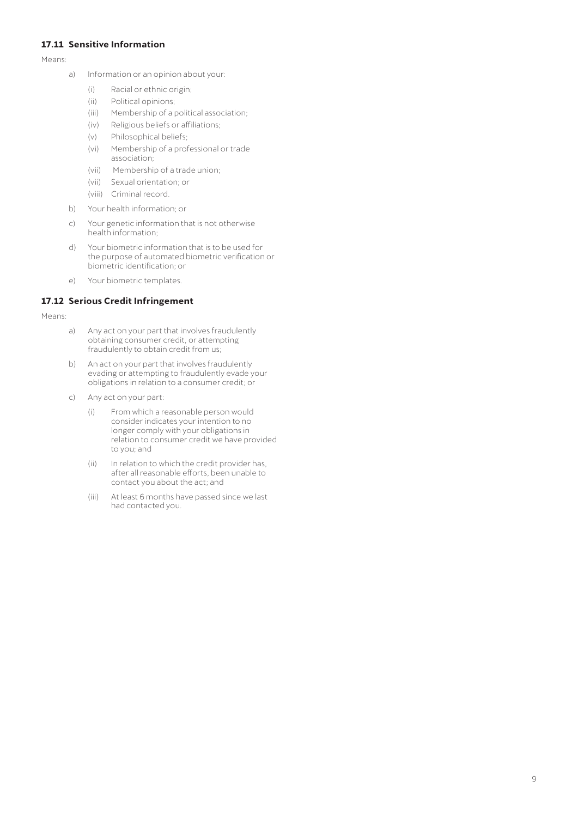#### <span id="page-10-0"></span>**17.11 Sensitive Information**

Means:

- a) Information or an opinion about your:
	- (i) Racial or ethnic origin;
	- (ii) Political opinions;
	- (iii) Membership of a political association;
	- (iv) Religious beliefs or affiliations;
	- (v) Philosophical beliefs;
	- (vi) Membership of a professional or trade association;
	- (vii) Membership of a trade union;
	- (vii) Sexual orientation; or
	- (viii) Criminal record.
- b) Your health information; or
- c) Your genetic information that is not otherwise health information;
- d) Your biometric information that is to be used for the purpose of automated biometric verification or biometric identification; or
- e) Your biometric templates.

#### **17.12 Serious Credit Infringement**

Means:

- a) Any act on your part that involves fraudulently obtaining consumer credit, or attempting fraudulently to obtain credit from us;
- b) An act on your part that involves fraudulently evading or attempting to fraudulently evade your obligations in relation to a consumer credit; or
- c) Any act on your part:
	- (i) From which a reasonable person would consider indicates your intention to no longer comply with your obligations in relation to consumer credit we have provided to you; and
	- (ii) In relation to which the credit provider has, after all reasonable efforts, been unable to contact you about the act; and
	- (iii) At least 6 months have passed since we last had contacted you.